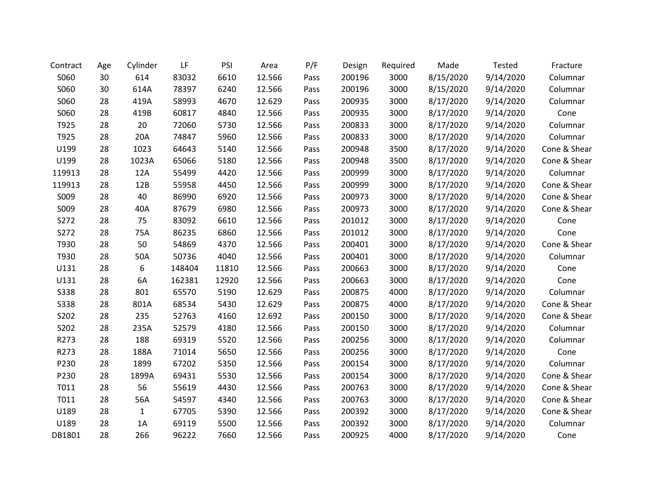| Contract    | Age | Cylinder | LF     | PSI   | Area   | P/F  | Design | Required | Made      | <b>Tested</b> | Fracture     |
|-------------|-----|----------|--------|-------|--------|------|--------|----------|-----------|---------------|--------------|
| S060        | 30  | 614      | 83032  | 6610  | 12.566 | Pass | 200196 | 3000     | 8/15/2020 | 9/14/2020     | Columnar     |
| S060        | 30  | 614A     | 78397  | 6240  | 12.566 | Pass | 200196 | 3000     | 8/15/2020 | 9/14/2020     | Columnar     |
| S060        | 28  | 419A     | 58993  | 4670  | 12.629 | Pass | 200935 | 3000     | 8/17/2020 | 9/14/2020     | Columnar     |
| S060        | 28  | 419B     | 60817  | 4840  | 12.566 | Pass | 200935 | 3000     | 8/17/2020 | 9/14/2020     | Cone         |
| T925        | 28  | 20       | 72060  | 5730  | 12.566 | Pass | 200833 | 3000     | 8/17/2020 | 9/14/2020     | Columnar     |
| T925        | 28  | 20A      | 74847  | 5960  | 12.566 | Pass | 200833 | 3000     | 8/17/2020 | 9/14/2020     | Columnar     |
| U199        | 28  | 1023     | 64643  | 5140  | 12.566 | Pass | 200948 | 3500     | 8/17/2020 | 9/14/2020     | Cone & Shear |
| U199        | 28  | 1023A    | 65066  | 5180  | 12.566 | Pass | 200948 | 3500     | 8/17/2020 | 9/14/2020     | Cone & Shear |
| 119913      | 28  | 12A      | 55499  | 4420  | 12.566 | Pass | 200999 | 3000     | 8/17/2020 | 9/14/2020     | Columnar     |
| 119913      | 28  | 12B      | 55958  | 4450  | 12.566 | Pass | 200999 | 3000     | 8/17/2020 | 9/14/2020     | Cone & Shear |
| S009        | 28  | 40       | 86990  | 6920  | 12.566 | Pass | 200973 | 3000     | 8/17/2020 | 9/14/2020     | Cone & Shear |
| S009        | 28  | 40A      | 87679  | 6980  | 12.566 | Pass | 200973 | 3000     | 8/17/2020 | 9/14/2020     | Cone & Shear |
| S272        | 28  | 75       | 83092  | 6610  | 12.566 | Pass | 201012 | 3000     | 8/17/2020 | 9/14/2020     | Cone         |
| S272        | 28  | 75A      | 86235  | 6860  | 12.566 | Pass | 201012 | 3000     | 8/17/2020 | 9/14/2020     | Cone         |
| T930        | 28  | 50       | 54869  | 4370  | 12.566 | Pass | 200401 | 3000     | 8/17/2020 | 9/14/2020     | Cone & Shear |
| T930        | 28  | 50A      | 50736  | 4040  | 12.566 | Pass | 200401 | 3000     | 8/17/2020 | 9/14/2020     | Columnar     |
| U131        | 28  | 6        | 148404 | 11810 | 12.566 | Pass | 200663 | 3000     | 8/17/2020 | 9/14/2020     | Cone         |
| U131        | 28  | 6A       | 162381 | 12920 | 12.566 | Pass | 200663 | 3000     | 8/17/2020 | 9/14/2020     | Cone         |
| <b>S338</b> | 28  | 801      | 65570  | 5190  | 12.629 | Pass | 200875 | 4000     | 8/17/2020 | 9/14/2020     | Columnar     |
| <b>S338</b> | 28  | 801A     | 68534  | 5430  | 12.629 | Pass | 200875 | 4000     | 8/17/2020 | 9/14/2020     | Cone & Shear |
| S202        | 28  | 235      | 52763  | 4160  | 12.692 | Pass | 200150 | 3000     | 8/17/2020 | 9/14/2020     | Cone & Shear |
| S202        | 28  | 235A     | 52579  | 4180  | 12.566 | Pass | 200150 | 3000     | 8/17/2020 | 9/14/2020     | Columnar     |
| R273        | 28  | 188      | 69319  | 5520  | 12.566 | Pass | 200256 | 3000     | 8/17/2020 | 9/14/2020     | Columnar     |
| R273        | 28  | 188A     | 71014  | 5650  | 12.566 | Pass | 200256 | 3000     | 8/17/2020 | 9/14/2020     | Cone         |
| P230        | 28  | 1899     | 67202  | 5350  | 12.566 | Pass | 200154 | 3000     | 8/17/2020 | 9/14/2020     | Columnar     |
| P230        | 28  | 1899A    | 69431  | 5530  | 12.566 | Pass | 200154 | 3000     | 8/17/2020 | 9/14/2020     | Cone & Shear |
| T011        | 28  | 56       | 55619  | 4430  | 12.566 | Pass | 200763 | 3000     | 8/17/2020 | 9/14/2020     | Cone & Shear |
| T011        | 28  | 56A      | 54597  | 4340  | 12.566 | Pass | 200763 | 3000     | 8/17/2020 | 9/14/2020     | Cone & Shear |
| U189        | 28  | 1        | 67705  | 5390  | 12.566 | Pass | 200392 | 3000     | 8/17/2020 | 9/14/2020     | Cone & Shear |
| U189        | 28  | 1A       | 69119  | 5500  | 12.566 | Pass | 200392 | 3000     | 8/17/2020 | 9/14/2020     | Columnar     |
| DB1801      | 28  | 266      | 96222  | 7660  | 12.566 | Pass | 200925 | 4000     | 8/17/2020 | 9/14/2020     | Cone         |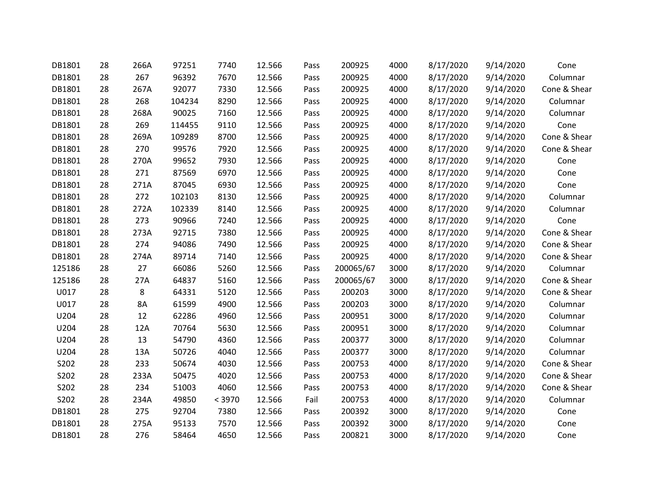| DB1801 | 28 | 266A | 97251  | 7740   | 12.566 | Pass | 200925    | 4000 | 8/17/2020 | 9/14/2020 | Cone         |
|--------|----|------|--------|--------|--------|------|-----------|------|-----------|-----------|--------------|
| DB1801 | 28 | 267  | 96392  | 7670   | 12.566 | Pass | 200925    | 4000 | 8/17/2020 | 9/14/2020 | Columnar     |
| DB1801 | 28 | 267A | 92077  | 7330   | 12.566 | Pass | 200925    | 4000 | 8/17/2020 | 9/14/2020 | Cone & Shear |
| DB1801 | 28 | 268  | 104234 | 8290   | 12.566 | Pass | 200925    | 4000 | 8/17/2020 | 9/14/2020 | Columnar     |
| DB1801 | 28 | 268A | 90025  | 7160   | 12.566 | Pass | 200925    | 4000 | 8/17/2020 | 9/14/2020 | Columnar     |
| DB1801 | 28 | 269  | 114455 | 9110   | 12.566 | Pass | 200925    | 4000 | 8/17/2020 | 9/14/2020 | Cone         |
| DB1801 | 28 | 269A | 109289 | 8700   | 12.566 | Pass | 200925    | 4000 | 8/17/2020 | 9/14/2020 | Cone & Shear |
| DB1801 | 28 | 270  | 99576  | 7920   | 12.566 | Pass | 200925    | 4000 | 8/17/2020 | 9/14/2020 | Cone & Shear |
| DB1801 | 28 | 270A | 99652  | 7930   | 12.566 | Pass | 200925    | 4000 | 8/17/2020 | 9/14/2020 | Cone         |
| DB1801 | 28 | 271  | 87569  | 6970   | 12.566 | Pass | 200925    | 4000 | 8/17/2020 | 9/14/2020 | Cone         |
| DB1801 | 28 | 271A | 87045  | 6930   | 12.566 | Pass | 200925    | 4000 | 8/17/2020 | 9/14/2020 | Cone         |
| DB1801 | 28 | 272  | 102103 | 8130   | 12.566 | Pass | 200925    | 4000 | 8/17/2020 | 9/14/2020 | Columnar     |
| DB1801 | 28 | 272A | 102339 | 8140   | 12.566 | Pass | 200925    | 4000 | 8/17/2020 | 9/14/2020 | Columnar     |
| DB1801 | 28 | 273  | 90966  | 7240   | 12.566 | Pass | 200925    | 4000 | 8/17/2020 | 9/14/2020 | Cone         |
| DB1801 | 28 | 273A | 92715  | 7380   | 12.566 | Pass | 200925    | 4000 | 8/17/2020 | 9/14/2020 | Cone & Shear |
| DB1801 | 28 | 274  | 94086  | 7490   | 12.566 | Pass | 200925    | 4000 | 8/17/2020 | 9/14/2020 | Cone & Shear |
| DB1801 | 28 | 274A | 89714  | 7140   | 12.566 | Pass | 200925    | 4000 | 8/17/2020 | 9/14/2020 | Cone & Shear |
| 125186 | 28 | 27   | 66086  | 5260   | 12.566 | Pass | 200065/67 | 3000 | 8/17/2020 | 9/14/2020 | Columnar     |
| 125186 | 28 | 27A  | 64837  | 5160   | 12.566 | Pass | 200065/67 | 3000 | 8/17/2020 | 9/14/2020 | Cone & Shear |
| U017   | 28 | 8    | 64331  | 5120   | 12.566 | Pass | 200203    | 3000 | 8/17/2020 | 9/14/2020 | Cone & Shear |
| U017   | 28 | 8A   | 61599  | 4900   | 12.566 | Pass | 200203    | 3000 | 8/17/2020 | 9/14/2020 | Columnar     |
| U204   | 28 | 12   | 62286  | 4960   | 12.566 | Pass | 200951    | 3000 | 8/17/2020 | 9/14/2020 | Columnar     |
| U204   | 28 | 12A  | 70764  | 5630   | 12.566 | Pass | 200951    | 3000 | 8/17/2020 | 9/14/2020 | Columnar     |
| U204   | 28 | 13   | 54790  | 4360   | 12.566 | Pass | 200377    | 3000 | 8/17/2020 | 9/14/2020 | Columnar     |
| U204   | 28 | 13A  | 50726  | 4040   | 12.566 | Pass | 200377    | 3000 | 8/17/2020 | 9/14/2020 | Columnar     |
| S202   | 28 | 233  | 50674  | 4030   | 12.566 | Pass | 200753    | 4000 | 8/17/2020 | 9/14/2020 | Cone & Shear |
| S202   | 28 | 233A | 50475  | 4020   | 12.566 | Pass | 200753    | 4000 | 8/17/2020 | 9/14/2020 | Cone & Shear |
| S202   | 28 | 234  | 51003  | 4060   | 12.566 | Pass | 200753    | 4000 | 8/17/2020 | 9/14/2020 | Cone & Shear |
| S202   | 28 | 234A | 49850  | < 3970 | 12.566 | Fail | 200753    | 4000 | 8/17/2020 | 9/14/2020 | Columnar     |
| DB1801 | 28 | 275  | 92704  | 7380   | 12.566 | Pass | 200392    | 3000 | 8/17/2020 | 9/14/2020 | Cone         |
| DB1801 | 28 | 275A | 95133  | 7570   | 12.566 | Pass | 200392    | 3000 | 8/17/2020 | 9/14/2020 | Cone         |
| DB1801 | 28 | 276  | 58464  | 4650   | 12.566 | Pass | 200821    | 3000 | 8/17/2020 | 9/14/2020 | Cone         |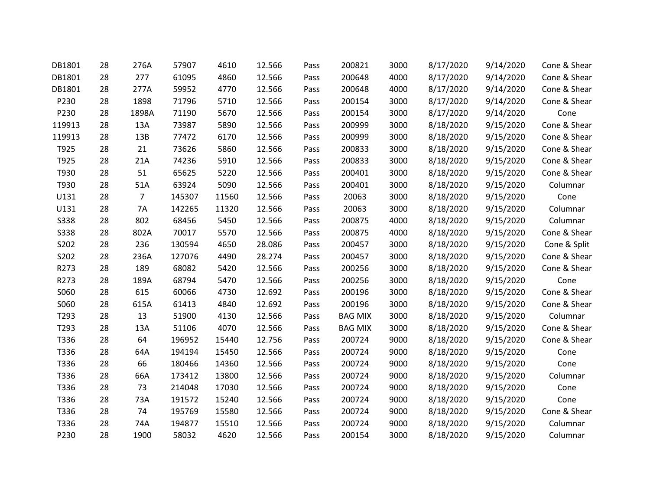| DB1801      | 28 | 276A           | 57907  | 4610  | 12.566 | Pass | 200821         | 3000 | 8/17/2020 | 9/14/2020 | Cone & Shear |
|-------------|----|----------------|--------|-------|--------|------|----------------|------|-----------|-----------|--------------|
| DB1801      | 28 | 277            | 61095  | 4860  | 12.566 | Pass | 200648         | 4000 | 8/17/2020 | 9/14/2020 | Cone & Shear |
| DB1801      | 28 | 277A           | 59952  | 4770  | 12.566 | Pass | 200648         | 4000 | 8/17/2020 | 9/14/2020 | Cone & Shear |
| P230        | 28 | 1898           | 71796  | 5710  | 12.566 | Pass | 200154         | 3000 | 8/17/2020 | 9/14/2020 | Cone & Shear |
| P230        | 28 | 1898A          | 71190  | 5670  | 12.566 | Pass | 200154         | 3000 | 8/17/2020 | 9/14/2020 | Cone         |
| 119913      | 28 | 13A            | 73987  | 5890  | 12.566 | Pass | 200999         | 3000 | 8/18/2020 | 9/15/2020 | Cone & Shear |
| 119913      | 28 | 13B            | 77472  | 6170  | 12.566 | Pass | 200999         | 3000 | 8/18/2020 | 9/15/2020 | Cone & Shear |
| T925        | 28 | 21             | 73626  | 5860  | 12.566 | Pass | 200833         | 3000 | 8/18/2020 | 9/15/2020 | Cone & Shear |
| T925        | 28 | 21A            | 74236  | 5910  | 12.566 | Pass | 200833         | 3000 | 8/18/2020 | 9/15/2020 | Cone & Shear |
| T930        | 28 | 51             | 65625  | 5220  | 12.566 | Pass | 200401         | 3000 | 8/18/2020 | 9/15/2020 | Cone & Shear |
| T930        | 28 | 51A            | 63924  | 5090  | 12.566 | Pass | 200401         | 3000 | 8/18/2020 | 9/15/2020 | Columnar     |
| U131        | 28 | $\overline{7}$ | 145307 | 11560 | 12.566 | Pass | 20063          | 3000 | 8/18/2020 | 9/15/2020 | Cone         |
| U131        | 28 | <b>7A</b>      | 142265 | 11320 | 12.566 | Pass | 20063          | 3000 | 8/18/2020 | 9/15/2020 | Columnar     |
| <b>S338</b> | 28 | 802            | 68456  | 5450  | 12.566 | Pass | 200875         | 4000 | 8/18/2020 | 9/15/2020 | Columnar     |
| <b>S338</b> | 28 | 802A           | 70017  | 5570  | 12.566 | Pass | 200875         | 4000 | 8/18/2020 | 9/15/2020 | Cone & Shear |
| S202        | 28 | 236            | 130594 | 4650  | 28.086 | Pass | 200457         | 3000 | 8/18/2020 | 9/15/2020 | Cone & Split |
| S202        | 28 | 236A           | 127076 | 4490  | 28.274 | Pass | 200457         | 3000 | 8/18/2020 | 9/15/2020 | Cone & Shear |
| R273        | 28 | 189            | 68082  | 5420  | 12.566 | Pass | 200256         | 3000 | 8/18/2020 | 9/15/2020 | Cone & Shear |
| R273        | 28 | 189A           | 68794  | 5470  | 12.566 | Pass | 200256         | 3000 | 8/18/2020 | 9/15/2020 | Cone         |
| S060        | 28 | 615            | 60066  | 4730  | 12.692 | Pass | 200196         | 3000 | 8/18/2020 | 9/15/2020 | Cone & Shear |
| S060        | 28 | 615A           | 61413  | 4840  | 12.692 | Pass | 200196         | 3000 | 8/18/2020 | 9/15/2020 | Cone & Shear |
| T293        | 28 | 13             | 51900  | 4130  | 12.566 | Pass | <b>BAG MIX</b> | 3000 | 8/18/2020 | 9/15/2020 | Columnar     |
| T293        | 28 | 13A            | 51106  | 4070  | 12.566 | Pass | <b>BAG MIX</b> | 3000 | 8/18/2020 | 9/15/2020 | Cone & Shear |
| T336        | 28 | 64             | 196952 | 15440 | 12.756 | Pass | 200724         | 9000 | 8/18/2020 | 9/15/2020 | Cone & Shear |
| T336        | 28 | 64A            | 194194 | 15450 | 12.566 | Pass | 200724         | 9000 | 8/18/2020 | 9/15/2020 | Cone         |
| T336        | 28 | 66             | 180466 | 14360 | 12.566 | Pass | 200724         | 9000 | 8/18/2020 | 9/15/2020 | Cone         |
| T336        | 28 | 66A            | 173412 | 13800 | 12.566 | Pass | 200724         | 9000 | 8/18/2020 | 9/15/2020 | Columnar     |
| T336        | 28 | 73             | 214048 | 17030 | 12.566 | Pass | 200724         | 9000 | 8/18/2020 | 9/15/2020 | Cone         |
| T336        | 28 | 73A            | 191572 | 15240 | 12.566 | Pass | 200724         | 9000 | 8/18/2020 | 9/15/2020 | Cone         |
| T336        | 28 | 74             | 195769 | 15580 | 12.566 | Pass | 200724         | 9000 | 8/18/2020 | 9/15/2020 | Cone & Shear |
| T336        | 28 | 74A            | 194877 | 15510 | 12.566 | Pass | 200724         | 9000 | 8/18/2020 | 9/15/2020 | Columnar     |
| P230        | 28 | 1900           | 58032  | 4620  | 12.566 | Pass | 200154         | 3000 | 8/18/2020 | 9/15/2020 | Columnar     |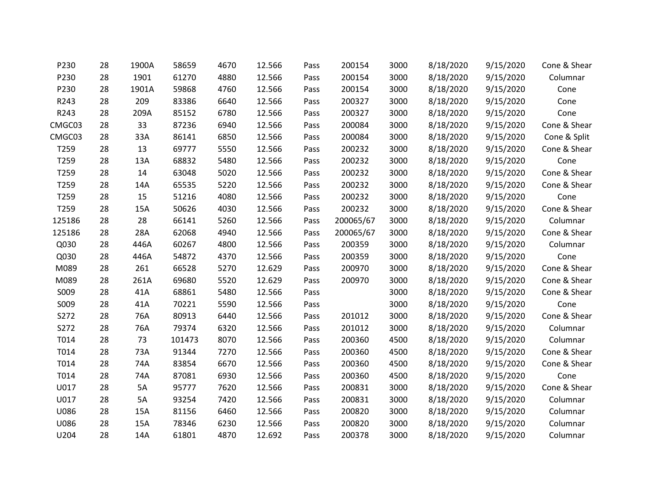| P230   | 28 | 1900A | 58659  | 4670 | 12.566 | Pass | 200154    | 3000 | 8/18/2020 | 9/15/2020 | Cone & Shear |
|--------|----|-------|--------|------|--------|------|-----------|------|-----------|-----------|--------------|
| P230   | 28 | 1901  | 61270  | 4880 | 12.566 | Pass | 200154    | 3000 | 8/18/2020 | 9/15/2020 | Columnar     |
| P230   | 28 | 1901A | 59868  | 4760 | 12.566 | Pass | 200154    | 3000 | 8/18/2020 | 9/15/2020 | Cone         |
| R243   | 28 | 209   | 83386  | 6640 | 12.566 | Pass | 200327    | 3000 | 8/18/2020 | 9/15/2020 | Cone         |
| R243   | 28 | 209A  | 85152  | 6780 | 12.566 | Pass | 200327    | 3000 | 8/18/2020 | 9/15/2020 | Cone         |
| CMGC03 | 28 | 33    | 87236  | 6940 | 12.566 | Pass | 200084    | 3000 | 8/18/2020 | 9/15/2020 | Cone & Shear |
| CMGC03 | 28 | 33A   | 86141  | 6850 | 12.566 | Pass | 200084    | 3000 | 8/18/2020 | 9/15/2020 | Cone & Split |
| T259   | 28 | 13    | 69777  | 5550 | 12.566 | Pass | 200232    | 3000 | 8/18/2020 | 9/15/2020 | Cone & Shear |
| T259   | 28 | 13A   | 68832  | 5480 | 12.566 | Pass | 200232    | 3000 | 8/18/2020 | 9/15/2020 | Cone         |
| T259   | 28 | 14    | 63048  | 5020 | 12.566 | Pass | 200232    | 3000 | 8/18/2020 | 9/15/2020 | Cone & Shear |
| T259   | 28 | 14A   | 65535  | 5220 | 12.566 | Pass | 200232    | 3000 | 8/18/2020 | 9/15/2020 | Cone & Shear |
| T259   | 28 | 15    | 51216  | 4080 | 12.566 | Pass | 200232    | 3000 | 8/18/2020 | 9/15/2020 | Cone         |
| T259   | 28 | 15A   | 50626  | 4030 | 12.566 | Pass | 200232    | 3000 | 8/18/2020 | 9/15/2020 | Cone & Shear |
| 125186 | 28 | 28    | 66141  | 5260 | 12.566 | Pass | 200065/67 | 3000 | 8/18/2020 | 9/15/2020 | Columnar     |
| 125186 | 28 | 28A   | 62068  | 4940 | 12.566 | Pass | 200065/67 | 3000 | 8/18/2020 | 9/15/2020 | Cone & Shear |
| Q030   | 28 | 446A  | 60267  | 4800 | 12.566 | Pass | 200359    | 3000 | 8/18/2020 | 9/15/2020 | Columnar     |
| Q030   | 28 | 446A  | 54872  | 4370 | 12.566 | Pass | 200359    | 3000 | 8/18/2020 | 9/15/2020 | Cone         |
| M089   | 28 | 261   | 66528  | 5270 | 12.629 | Pass | 200970    | 3000 | 8/18/2020 | 9/15/2020 | Cone & Shear |
| M089   | 28 | 261A  | 69680  | 5520 | 12.629 | Pass | 200970    | 3000 | 8/18/2020 | 9/15/2020 | Cone & Shear |
| S009   | 28 | 41A   | 68861  | 5480 | 12.566 | Pass |           | 3000 | 8/18/2020 | 9/15/2020 | Cone & Shear |
| S009   | 28 | 41A   | 70221  | 5590 | 12.566 | Pass |           | 3000 | 8/18/2020 | 9/15/2020 | Cone         |
| S272   | 28 | 76A   | 80913  | 6440 | 12.566 | Pass | 201012    | 3000 | 8/18/2020 | 9/15/2020 | Cone & Shear |
| S272   | 28 | 76A   | 79374  | 6320 | 12.566 | Pass | 201012    | 3000 | 8/18/2020 | 9/15/2020 | Columnar     |
| T014   | 28 | 73    | 101473 | 8070 | 12.566 | Pass | 200360    | 4500 | 8/18/2020 | 9/15/2020 | Columnar     |
| T014   | 28 | 73A   | 91344  | 7270 | 12.566 | Pass | 200360    | 4500 | 8/18/2020 | 9/15/2020 | Cone & Shear |
| T014   | 28 | 74A   | 83854  | 6670 | 12.566 | Pass | 200360    | 4500 | 8/18/2020 | 9/15/2020 | Cone & Shear |
| T014   | 28 | 74A   | 87081  | 6930 | 12.566 | Pass | 200360    | 4500 | 8/18/2020 | 9/15/2020 | Cone         |
| U017   | 28 | 5A    | 95777  | 7620 | 12.566 | Pass | 200831    | 3000 | 8/18/2020 | 9/15/2020 | Cone & Shear |
| U017   | 28 | 5A    | 93254  | 7420 | 12.566 | Pass | 200831    | 3000 | 8/18/2020 | 9/15/2020 | Columnar     |
| U086   | 28 | 15A   | 81156  | 6460 | 12.566 | Pass | 200820    | 3000 | 8/18/2020 | 9/15/2020 | Columnar     |
| U086   | 28 | 15A   | 78346  | 6230 | 12.566 | Pass | 200820    | 3000 | 8/18/2020 | 9/15/2020 | Columnar     |
| U204   | 28 | 14A   | 61801  | 4870 | 12.692 | Pass | 200378    | 3000 | 8/18/2020 | 9/15/2020 | Columnar     |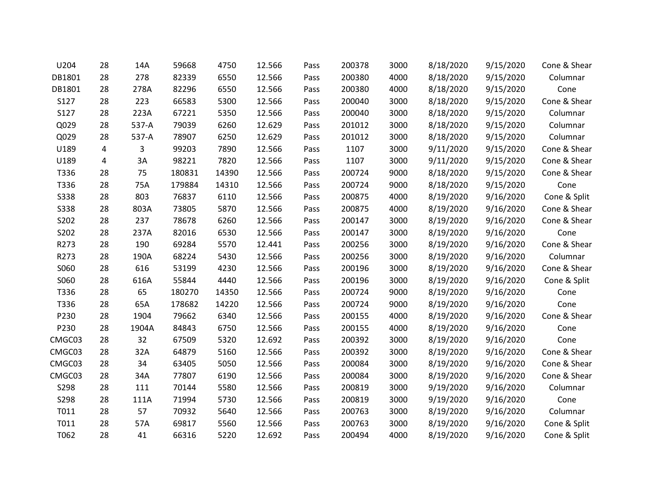| U204        | 28 | 14A   | 59668  | 4750  | 12.566 | Pass | 200378 | 3000 | 8/18/2020 | 9/15/2020 | Cone & Shear |
|-------------|----|-------|--------|-------|--------|------|--------|------|-----------|-----------|--------------|
| DB1801      | 28 | 278   | 82339  | 6550  | 12.566 | Pass | 200380 | 4000 | 8/18/2020 | 9/15/2020 | Columnar     |
| DB1801      | 28 | 278A  | 82296  | 6550  | 12.566 | Pass | 200380 | 4000 | 8/18/2020 | 9/15/2020 | Cone         |
| S127        | 28 | 223   | 66583  | 5300  | 12.566 | Pass | 200040 | 3000 | 8/18/2020 | 9/15/2020 | Cone & Shear |
| S127        | 28 | 223A  | 67221  | 5350  | 12.566 | Pass | 200040 | 3000 | 8/18/2020 | 9/15/2020 | Columnar     |
| Q029        | 28 | 537-A | 79039  | 6260  | 12.629 | Pass | 201012 | 3000 | 8/18/2020 | 9/15/2020 | Columnar     |
| Q029        | 28 | 537-A | 78907  | 6250  | 12.629 | Pass | 201012 | 3000 | 8/18/2020 | 9/15/2020 | Columnar     |
| U189        | 4  | 3     | 99203  | 7890  | 12.566 | Pass | 1107   | 3000 | 9/11/2020 | 9/15/2020 | Cone & Shear |
| U189        | 4  | 3A    | 98221  | 7820  | 12.566 | Pass | 1107   | 3000 | 9/11/2020 | 9/15/2020 | Cone & Shear |
| T336        | 28 | 75    | 180831 | 14390 | 12.566 | Pass | 200724 | 9000 | 8/18/2020 | 9/15/2020 | Cone & Shear |
| T336        | 28 | 75A   | 179884 | 14310 | 12.566 | Pass | 200724 | 9000 | 8/18/2020 | 9/15/2020 | Cone         |
| <b>S338</b> | 28 | 803   | 76837  | 6110  | 12.566 | Pass | 200875 | 4000 | 8/19/2020 | 9/16/2020 | Cone & Split |
| <b>S338</b> | 28 | 803A  | 73805  | 5870  | 12.566 | Pass | 200875 | 4000 | 8/19/2020 | 9/16/2020 | Cone & Shear |
| S202        | 28 | 237   | 78678  | 6260  | 12.566 | Pass | 200147 | 3000 | 8/19/2020 | 9/16/2020 | Cone & Shear |
| S202        | 28 | 237A  | 82016  | 6530  | 12.566 | Pass | 200147 | 3000 | 8/19/2020 | 9/16/2020 | Cone         |
| R273        | 28 | 190   | 69284  | 5570  | 12.441 | Pass | 200256 | 3000 | 8/19/2020 | 9/16/2020 | Cone & Shear |
| R273        | 28 | 190A  | 68224  | 5430  | 12.566 | Pass | 200256 | 3000 | 8/19/2020 | 9/16/2020 | Columnar     |
| S060        | 28 | 616   | 53199  | 4230  | 12.566 | Pass | 200196 | 3000 | 8/19/2020 | 9/16/2020 | Cone & Shear |
| S060        | 28 | 616A  | 55844  | 4440  | 12.566 | Pass | 200196 | 3000 | 8/19/2020 | 9/16/2020 | Cone & Split |
| T336        | 28 | 65    | 180270 | 14350 | 12.566 | Pass | 200724 | 9000 | 8/19/2020 | 9/16/2020 | Cone         |
| T336        | 28 | 65A   | 178682 | 14220 | 12.566 | Pass | 200724 | 9000 | 8/19/2020 | 9/16/2020 | Cone         |
| P230        | 28 | 1904  | 79662  | 6340  | 12.566 | Pass | 200155 | 4000 | 8/19/2020 | 9/16/2020 | Cone & Shear |
| P230        | 28 | 1904A | 84843  | 6750  | 12.566 | Pass | 200155 | 4000 | 8/19/2020 | 9/16/2020 | Cone         |
| CMGC03      | 28 | 32    | 67509  | 5320  | 12.692 | Pass | 200392 | 3000 | 8/19/2020 | 9/16/2020 | Cone         |
| CMGC03      | 28 | 32A   | 64879  | 5160  | 12.566 | Pass | 200392 | 3000 | 8/19/2020 | 9/16/2020 | Cone & Shear |
| CMGC03      | 28 | 34    | 63405  | 5050  | 12.566 | Pass | 200084 | 3000 | 8/19/2020 | 9/16/2020 | Cone & Shear |
| CMGC03      | 28 | 34A   | 77807  | 6190  | 12.566 | Pass | 200084 | 3000 | 8/19/2020 | 9/16/2020 | Cone & Shear |
| S298        | 28 | 111   | 70144  | 5580  | 12.566 | Pass | 200819 | 3000 | 9/19/2020 | 9/16/2020 | Columnar     |
| S298        | 28 | 111A  | 71994  | 5730  | 12.566 | Pass | 200819 | 3000 | 9/19/2020 | 9/16/2020 | Cone         |
| T011        | 28 | 57    | 70932  | 5640  | 12.566 | Pass | 200763 | 3000 | 8/19/2020 | 9/16/2020 | Columnar     |
| T011        | 28 | 57A   | 69817  | 5560  | 12.566 | Pass | 200763 | 3000 | 8/19/2020 | 9/16/2020 | Cone & Split |
| T062        | 28 | 41    | 66316  | 5220  | 12.692 | Pass | 200494 | 4000 | 8/19/2020 | 9/16/2020 | Cone & Split |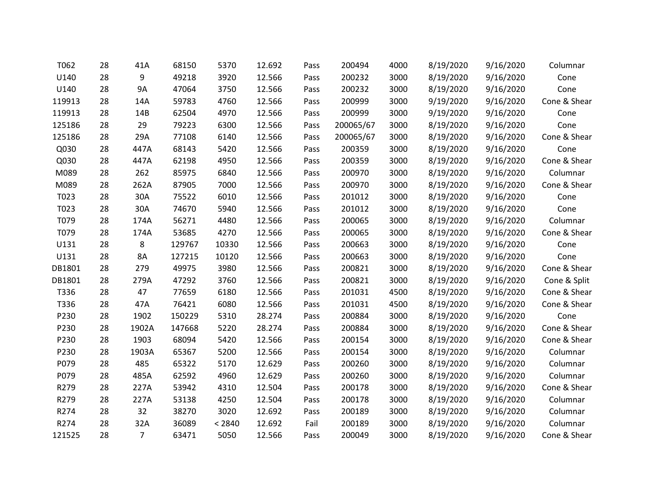| T062   | 28 | 41A            | 68150  | 5370   | 12.692 | Pass | 200494    | 4000 | 8/19/2020 | 9/16/2020 | Columnar     |
|--------|----|----------------|--------|--------|--------|------|-----------|------|-----------|-----------|--------------|
| U140   | 28 | 9              | 49218  | 3920   | 12.566 | Pass | 200232    | 3000 | 8/19/2020 | 9/16/2020 | Cone         |
| U140   | 28 | <b>9A</b>      | 47064  | 3750   | 12.566 | Pass | 200232    | 3000 | 8/19/2020 | 9/16/2020 | Cone         |
| 119913 | 28 | 14A            | 59783  | 4760   | 12.566 | Pass | 200999    | 3000 | 9/19/2020 | 9/16/2020 | Cone & Shear |
| 119913 | 28 | 14B            | 62504  | 4970   | 12.566 | Pass | 200999    | 3000 | 9/19/2020 | 9/16/2020 | Cone         |
| 125186 | 28 | 29             | 79223  | 6300   | 12.566 | Pass | 200065/67 | 3000 | 8/19/2020 | 9/16/2020 | Cone         |
| 125186 | 28 | 29A            | 77108  | 6140   | 12.566 | Pass | 200065/67 | 3000 | 8/19/2020 | 9/16/2020 | Cone & Shear |
| Q030   | 28 | 447A           | 68143  | 5420   | 12.566 | Pass | 200359    | 3000 | 8/19/2020 | 9/16/2020 | Cone         |
| Q030   | 28 | 447A           | 62198  | 4950   | 12.566 | Pass | 200359    | 3000 | 8/19/2020 | 9/16/2020 | Cone & Shear |
| M089   | 28 | 262            | 85975  | 6840   | 12.566 | Pass | 200970    | 3000 | 8/19/2020 | 9/16/2020 | Columnar     |
| M089   | 28 | 262A           | 87905  | 7000   | 12.566 | Pass | 200970    | 3000 | 8/19/2020 | 9/16/2020 | Cone & Shear |
| T023   | 28 | 30A            | 75522  | 6010   | 12.566 | Pass | 201012    | 3000 | 8/19/2020 | 9/16/2020 | Cone         |
| T023   | 28 | 30A            | 74670  | 5940   | 12.566 | Pass | 201012    | 3000 | 8/19/2020 | 9/16/2020 | Cone         |
| T079   | 28 | 174A           | 56271  | 4480   | 12.566 | Pass | 200065    | 3000 | 8/19/2020 | 9/16/2020 | Columnar     |
| T079   | 28 | 174A           | 53685  | 4270   | 12.566 | Pass | 200065    | 3000 | 8/19/2020 | 9/16/2020 | Cone & Shear |
| U131   | 28 | 8              | 129767 | 10330  | 12.566 | Pass | 200663    | 3000 | 8/19/2020 | 9/16/2020 | Cone         |
| U131   | 28 | 8A             | 127215 | 10120  | 12.566 | Pass | 200663    | 3000 | 8/19/2020 | 9/16/2020 | Cone         |
| DB1801 | 28 | 279            | 49975  | 3980   | 12.566 | Pass | 200821    | 3000 | 8/19/2020 | 9/16/2020 | Cone & Shear |
| DB1801 | 28 | 279A           | 47292  | 3760   | 12.566 | Pass | 200821    | 3000 | 8/19/2020 | 9/16/2020 | Cone & Split |
| T336   | 28 | 47             | 77659  | 6180   | 12.566 | Pass | 201031    | 4500 | 8/19/2020 | 9/16/2020 | Cone & Shear |
| T336   | 28 | 47A            | 76421  | 6080   | 12.566 | Pass | 201031    | 4500 | 8/19/2020 | 9/16/2020 | Cone & Shear |
| P230   | 28 | 1902           | 150229 | 5310   | 28.274 | Pass | 200884    | 3000 | 8/19/2020 | 9/16/2020 | Cone         |
| P230   | 28 | 1902A          | 147668 | 5220   | 28.274 | Pass | 200884    | 3000 | 8/19/2020 | 9/16/2020 | Cone & Shear |
| P230   | 28 | 1903           | 68094  | 5420   | 12.566 | Pass | 200154    | 3000 | 8/19/2020 | 9/16/2020 | Cone & Shear |
| P230   | 28 | 1903A          | 65367  | 5200   | 12.566 | Pass | 200154    | 3000 | 8/19/2020 | 9/16/2020 | Columnar     |
| P079   | 28 | 485            | 65322  | 5170   | 12.629 | Pass | 200260    | 3000 | 8/19/2020 | 9/16/2020 | Columnar     |
| P079   | 28 | 485A           | 62592  | 4960   | 12.629 | Pass | 200260    | 3000 | 8/19/2020 | 9/16/2020 | Columnar     |
| R279   | 28 | 227A           | 53942  | 4310   | 12.504 | Pass | 200178    | 3000 | 8/19/2020 | 9/16/2020 | Cone & Shear |
| R279   | 28 | 227A           | 53138  | 4250   | 12.504 | Pass | 200178    | 3000 | 8/19/2020 | 9/16/2020 | Columnar     |
| R274   | 28 | 32             | 38270  | 3020   | 12.692 | Pass | 200189    | 3000 | 8/19/2020 | 9/16/2020 | Columnar     |
| R274   | 28 | 32A            | 36089  | < 2840 | 12.692 | Fail | 200189    | 3000 | 8/19/2020 | 9/16/2020 | Columnar     |
| 121525 | 28 | $\overline{7}$ | 63471  | 5050   | 12.566 | Pass | 200049    | 3000 | 8/19/2020 | 9/16/2020 | Cone & Shear |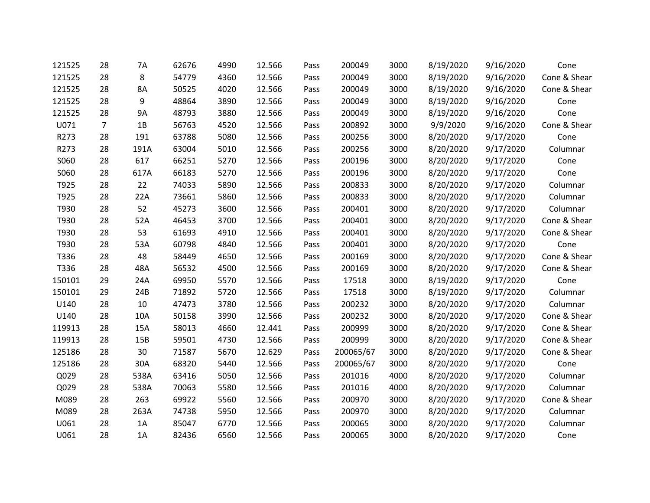| 121525 | 28             | 7A   | 62676 | 4990 | 12.566 | Pass | 200049    | 3000 | 8/19/2020 | 9/16/2020 | Cone         |
|--------|----------------|------|-------|------|--------|------|-----------|------|-----------|-----------|--------------|
| 121525 | 28             | 8    | 54779 | 4360 | 12.566 | Pass | 200049    | 3000 | 8/19/2020 | 9/16/2020 | Cone & Shear |
| 121525 | 28             | 8A   | 50525 | 4020 | 12.566 | Pass | 200049    | 3000 | 8/19/2020 | 9/16/2020 | Cone & Shear |
| 121525 | 28             | 9    | 48864 | 3890 | 12.566 | Pass | 200049    | 3000 | 8/19/2020 | 9/16/2020 | Cone         |
| 121525 | 28             | 9A   | 48793 | 3880 | 12.566 | Pass | 200049    | 3000 | 8/19/2020 | 9/16/2020 | Cone         |
| U071   | $\overline{7}$ | 1B   | 56763 | 4520 | 12.566 | Pass | 200892    | 3000 | 9/9/2020  | 9/16/2020 | Cone & Shear |
| R273   | 28             | 191  | 63788 | 5080 | 12.566 | Pass | 200256    | 3000 | 8/20/2020 | 9/17/2020 | Cone         |
| R273   | 28             | 191A | 63004 | 5010 | 12.566 | Pass | 200256    | 3000 | 8/20/2020 | 9/17/2020 | Columnar     |
| S060   | 28             | 617  | 66251 | 5270 | 12.566 | Pass | 200196    | 3000 | 8/20/2020 | 9/17/2020 | Cone         |
| S060   | 28             | 617A | 66183 | 5270 | 12.566 | Pass | 200196    | 3000 | 8/20/2020 | 9/17/2020 | Cone         |
| T925   | 28             | 22   | 74033 | 5890 | 12.566 | Pass | 200833    | 3000 | 8/20/2020 | 9/17/2020 | Columnar     |
| T925   | 28             | 22A  | 73661 | 5860 | 12.566 | Pass | 200833    | 3000 | 8/20/2020 | 9/17/2020 | Columnar     |
| T930   | 28             | 52   | 45273 | 3600 | 12.566 | Pass | 200401    | 3000 | 8/20/2020 | 9/17/2020 | Columnar     |
| T930   | 28             | 52A  | 46453 | 3700 | 12.566 | Pass | 200401    | 3000 | 8/20/2020 | 9/17/2020 | Cone & Shear |
| T930   | 28             | 53   | 61693 | 4910 | 12.566 | Pass | 200401    | 3000 | 8/20/2020 | 9/17/2020 | Cone & Shear |
| T930   | 28             | 53A  | 60798 | 4840 | 12.566 | Pass | 200401    | 3000 | 8/20/2020 | 9/17/2020 | Cone         |
| T336   | 28             | 48   | 58449 | 4650 | 12.566 | Pass | 200169    | 3000 | 8/20/2020 | 9/17/2020 | Cone & Shear |
| T336   | 28             | 48A  | 56532 | 4500 | 12.566 | Pass | 200169    | 3000 | 8/20/2020 | 9/17/2020 | Cone & Shear |
| 150101 | 29             | 24A  | 69950 | 5570 | 12.566 | Pass | 17518     | 3000 | 8/19/2020 | 9/17/2020 | Cone         |
| 150101 | 29             | 24B  | 71892 | 5720 | 12.566 | Pass | 17518     | 3000 | 8/19/2020 | 9/17/2020 | Columnar     |
| U140   | 28             | 10   | 47473 | 3780 | 12.566 | Pass | 200232    | 3000 | 8/20/2020 | 9/17/2020 | Columnar     |
| U140   | 28             | 10A  | 50158 | 3990 | 12.566 | Pass | 200232    | 3000 | 8/20/2020 | 9/17/2020 | Cone & Shear |
| 119913 | 28             | 15A  | 58013 | 4660 | 12.441 | Pass | 200999    | 3000 | 8/20/2020 | 9/17/2020 | Cone & Shear |
| 119913 | 28             | 15B  | 59501 | 4730 | 12.566 | Pass | 200999    | 3000 | 8/20/2020 | 9/17/2020 | Cone & Shear |
| 125186 | 28             | 30   | 71587 | 5670 | 12.629 | Pass | 200065/67 | 3000 | 8/20/2020 | 9/17/2020 | Cone & Shear |
| 125186 | 28             | 30A  | 68320 | 5440 | 12.566 | Pass | 200065/67 | 3000 | 8/20/2020 | 9/17/2020 | Cone         |
| Q029   | 28             | 538A | 63416 | 5050 | 12.566 | Pass | 201016    | 4000 | 8/20/2020 | 9/17/2020 | Columnar     |
| Q029   | 28             | 538A | 70063 | 5580 | 12.566 | Pass | 201016    | 4000 | 8/20/2020 | 9/17/2020 | Columnar     |
| M089   | 28             | 263  | 69922 | 5560 | 12.566 | Pass | 200970    | 3000 | 8/20/2020 | 9/17/2020 | Cone & Shear |
| M089   | 28             | 263A | 74738 | 5950 | 12.566 | Pass | 200970    | 3000 | 8/20/2020 | 9/17/2020 | Columnar     |
| U061   | 28             | 1A   | 85047 | 6770 | 12.566 | Pass | 200065    | 3000 | 8/20/2020 | 9/17/2020 | Columnar     |
| U061   | 28             | 1A   | 82436 | 6560 | 12.566 | Pass | 200065    | 3000 | 8/20/2020 | 9/17/2020 | Cone         |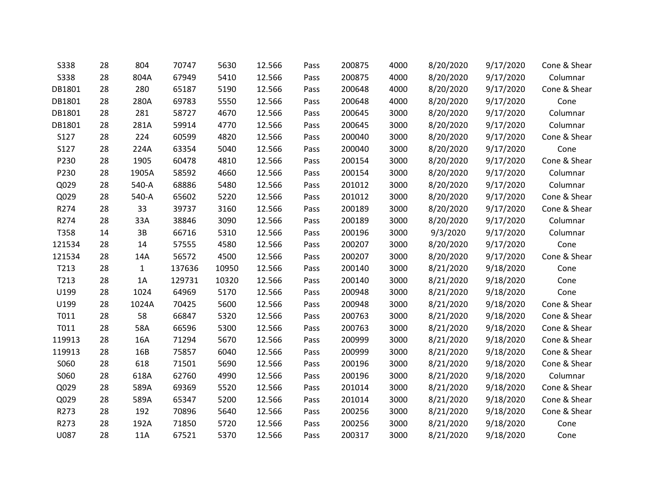| <b>S338</b> | 28 | 804   | 70747  | 5630  | 12.566 | Pass | 200875 | 4000 | 8/20/2020 | 9/17/2020 | Cone & Shear |
|-------------|----|-------|--------|-------|--------|------|--------|------|-----------|-----------|--------------|
| <b>S338</b> | 28 | 804A  | 67949  | 5410  | 12.566 | Pass | 200875 | 4000 | 8/20/2020 | 9/17/2020 | Columnar     |
| DB1801      | 28 | 280   | 65187  | 5190  | 12.566 | Pass | 200648 | 4000 | 8/20/2020 | 9/17/2020 | Cone & Shear |
| DB1801      | 28 | 280A  | 69783  | 5550  | 12.566 | Pass | 200648 | 4000 | 8/20/2020 | 9/17/2020 | Cone         |
| DB1801      | 28 | 281   | 58727  | 4670  | 12.566 | Pass | 200645 | 3000 | 8/20/2020 | 9/17/2020 | Columnar     |
| DB1801      | 28 | 281A  | 59914  | 4770  | 12.566 | Pass | 200645 | 3000 | 8/20/2020 | 9/17/2020 | Columnar     |
| S127        | 28 | 224   | 60599  | 4820  | 12.566 | Pass | 200040 | 3000 | 8/20/2020 | 9/17/2020 | Cone & Shear |
| S127        | 28 | 224A  | 63354  | 5040  | 12.566 | Pass | 200040 | 3000 | 8/20/2020 | 9/17/2020 | Cone         |
| P230        | 28 | 1905  | 60478  | 4810  | 12.566 | Pass | 200154 | 3000 | 8/20/2020 | 9/17/2020 | Cone & Shear |
| P230        | 28 | 1905A | 58592  | 4660  | 12.566 | Pass | 200154 | 3000 | 8/20/2020 | 9/17/2020 | Columnar     |
| Q029        | 28 | 540-A | 68886  | 5480  | 12.566 | Pass | 201012 | 3000 | 8/20/2020 | 9/17/2020 | Columnar     |
| Q029        | 28 | 540-A | 65602  | 5220  | 12.566 | Pass | 201012 | 3000 | 8/20/2020 | 9/17/2020 | Cone & Shear |
| R274        | 28 | 33    | 39737  | 3160  | 12.566 | Pass | 200189 | 3000 | 8/20/2020 | 9/17/2020 | Cone & Shear |
| R274        | 28 | 33A   | 38846  | 3090  | 12.566 | Pass | 200189 | 3000 | 8/20/2020 | 9/17/2020 | Columnar     |
| T358        | 14 | 3B    | 66716  | 5310  | 12.566 | Pass | 200196 | 3000 | 9/3/2020  | 9/17/2020 | Columnar     |
| 121534      | 28 | 14    | 57555  | 4580  | 12.566 | Pass | 200207 | 3000 | 8/20/2020 | 9/17/2020 | Cone         |
| 121534      | 28 | 14A   | 56572  | 4500  | 12.566 | Pass | 200207 | 3000 | 8/20/2020 | 9/17/2020 | Cone & Shear |
| T213        | 28 | 1     | 137636 | 10950 | 12.566 | Pass | 200140 | 3000 | 8/21/2020 | 9/18/2020 | Cone         |
| T213        | 28 | 1A    | 129731 | 10320 | 12.566 | Pass | 200140 | 3000 | 8/21/2020 | 9/18/2020 | Cone         |
| U199        | 28 | 1024  | 64969  | 5170  | 12.566 | Pass | 200948 | 3000 | 8/21/2020 | 9/18/2020 | Cone         |
| U199        | 28 | 1024A | 70425  | 5600  | 12.566 | Pass | 200948 | 3000 | 8/21/2020 | 9/18/2020 | Cone & Shear |
| T011        | 28 | 58    | 66847  | 5320  | 12.566 | Pass | 200763 | 3000 | 8/21/2020 | 9/18/2020 | Cone & Shear |
| T011        | 28 | 58A   | 66596  | 5300  | 12.566 | Pass | 200763 | 3000 | 8/21/2020 | 9/18/2020 | Cone & Shear |
| 119913      | 28 | 16A   | 71294  | 5670  | 12.566 | Pass | 200999 | 3000 | 8/21/2020 | 9/18/2020 | Cone & Shear |
| 119913      | 28 | 16B   | 75857  | 6040  | 12.566 | Pass | 200999 | 3000 | 8/21/2020 | 9/18/2020 | Cone & Shear |
| S060        | 28 | 618   | 71501  | 5690  | 12.566 | Pass | 200196 | 3000 | 8/21/2020 | 9/18/2020 | Cone & Shear |
| S060        | 28 | 618A  | 62760  | 4990  | 12.566 | Pass | 200196 | 3000 | 8/21/2020 | 9/18/2020 | Columnar     |
| Q029        | 28 | 589A  | 69369  | 5520  | 12.566 | Pass | 201014 | 3000 | 8/21/2020 | 9/18/2020 | Cone & Shear |
| Q029        | 28 | 589A  | 65347  | 5200  | 12.566 | Pass | 201014 | 3000 | 8/21/2020 | 9/18/2020 | Cone & Shear |
| R273        | 28 | 192   | 70896  | 5640  | 12.566 | Pass | 200256 | 3000 | 8/21/2020 | 9/18/2020 | Cone & Shear |
| R273        | 28 | 192A  | 71850  | 5720  | 12.566 | Pass | 200256 | 3000 | 8/21/2020 | 9/18/2020 | Cone         |
| U087        | 28 | 11A   | 67521  | 5370  | 12.566 | Pass | 200317 | 3000 | 8/21/2020 | 9/18/2020 | Cone         |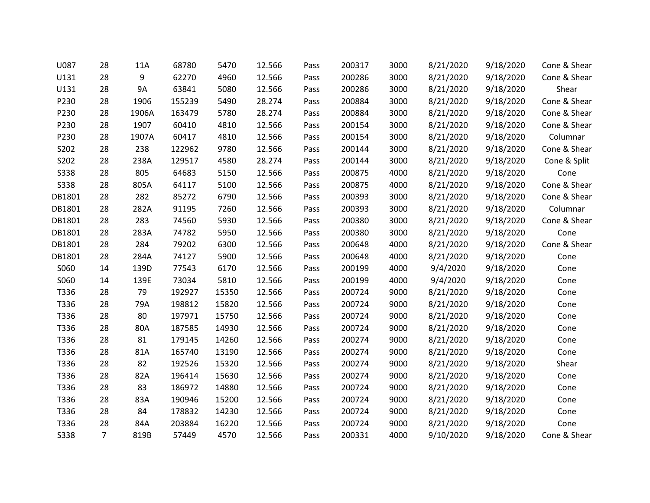| U087        | 28             | 11A       | 68780  | 5470  | 12.566 | Pass | 200317 | 3000 | 8/21/2020 | 9/18/2020 | Cone & Shear |
|-------------|----------------|-----------|--------|-------|--------|------|--------|------|-----------|-----------|--------------|
| U131        | 28             | 9         | 62270  | 4960  | 12.566 | Pass | 200286 | 3000 | 8/21/2020 | 9/18/2020 | Cone & Shear |
| U131        | 28             | <b>9A</b> | 63841  | 5080  | 12.566 | Pass | 200286 | 3000 | 8/21/2020 | 9/18/2020 | Shear        |
| P230        | 28             | 1906      | 155239 | 5490  | 28.274 | Pass | 200884 | 3000 | 8/21/2020 | 9/18/2020 | Cone & Shear |
| P230        | 28             | 1906A     | 163479 | 5780  | 28.274 | Pass | 200884 | 3000 | 8/21/2020 | 9/18/2020 | Cone & Shear |
| P230        | 28             | 1907      | 60410  | 4810  | 12.566 | Pass | 200154 | 3000 | 8/21/2020 | 9/18/2020 | Cone & Shear |
| P230        | 28             | 1907A     | 60417  | 4810  | 12.566 | Pass | 200154 | 3000 | 8/21/2020 | 9/18/2020 | Columnar     |
| S202        | 28             | 238       | 122962 | 9780  | 12.566 | Pass | 200144 | 3000 | 8/21/2020 | 9/18/2020 | Cone & Shear |
| S202        | 28             | 238A      | 129517 | 4580  | 28.274 | Pass | 200144 | 3000 | 8/21/2020 | 9/18/2020 | Cone & Split |
| <b>S338</b> | 28             | 805       | 64683  | 5150  | 12.566 | Pass | 200875 | 4000 | 8/21/2020 | 9/18/2020 | Cone         |
| S338        | 28             | 805A      | 64117  | 5100  | 12.566 | Pass | 200875 | 4000 | 8/21/2020 | 9/18/2020 | Cone & Shear |
| DB1801      | 28             | 282       | 85272  | 6790  | 12.566 | Pass | 200393 | 3000 | 8/21/2020 | 9/18/2020 | Cone & Shear |
| DB1801      | 28             | 282A      | 91195  | 7260  | 12.566 | Pass | 200393 | 3000 | 8/21/2020 | 9/18/2020 | Columnar     |
| DB1801      | 28             | 283       | 74560  | 5930  | 12.566 | Pass | 200380 | 3000 | 8/21/2020 | 9/18/2020 | Cone & Shear |
| DB1801      | 28             | 283A      | 74782  | 5950  | 12.566 | Pass | 200380 | 3000 | 8/21/2020 | 9/18/2020 | Cone         |
| DB1801      | 28             | 284       | 79202  | 6300  | 12.566 | Pass | 200648 | 4000 | 8/21/2020 | 9/18/2020 | Cone & Shear |
| DB1801      | 28             | 284A      | 74127  | 5900  | 12.566 | Pass | 200648 | 4000 | 8/21/2020 | 9/18/2020 | Cone         |
| S060        | 14             | 139D      | 77543  | 6170  | 12.566 | Pass | 200199 | 4000 | 9/4/2020  | 9/18/2020 | Cone         |
| S060        | 14             | 139E      | 73034  | 5810  | 12.566 | Pass | 200199 | 4000 | 9/4/2020  | 9/18/2020 | Cone         |
| T336        | 28             | 79        | 192927 | 15350 | 12.566 | Pass | 200724 | 9000 | 8/21/2020 | 9/18/2020 | Cone         |
| T336        | 28             | 79A       | 198812 | 15820 | 12.566 | Pass | 200724 | 9000 | 8/21/2020 | 9/18/2020 | Cone         |
| T336        | 28             | 80        | 197971 | 15750 | 12.566 | Pass | 200724 | 9000 | 8/21/2020 | 9/18/2020 | Cone         |
| T336        | 28             | 80A       | 187585 | 14930 | 12.566 | Pass | 200724 | 9000 | 8/21/2020 | 9/18/2020 | Cone         |
| T336        | 28             | 81        | 179145 | 14260 | 12.566 | Pass | 200274 | 9000 | 8/21/2020 | 9/18/2020 | Cone         |
| T336        | 28             | 81A       | 165740 | 13190 | 12.566 | Pass | 200274 | 9000 | 8/21/2020 | 9/18/2020 | Cone         |
| T336        | 28             | 82        | 192526 | 15320 | 12.566 | Pass | 200274 | 9000 | 8/21/2020 | 9/18/2020 | Shear        |
| T336        | 28             | 82A       | 196414 | 15630 | 12.566 | Pass | 200274 | 9000 | 8/21/2020 | 9/18/2020 | Cone         |
| T336        | 28             | 83        | 186972 | 14880 | 12.566 | Pass | 200724 | 9000 | 8/21/2020 | 9/18/2020 | Cone         |
| T336        | 28             | 83A       | 190946 | 15200 | 12.566 | Pass | 200724 | 9000 | 8/21/2020 | 9/18/2020 | Cone         |
| T336        | 28             | 84        | 178832 | 14230 | 12.566 | Pass | 200724 | 9000 | 8/21/2020 | 9/18/2020 | Cone         |
| T336        | 28             | 84A       | 203884 | 16220 | 12.566 | Pass | 200724 | 9000 | 8/21/2020 | 9/18/2020 | Cone         |
| <b>S338</b> | $\overline{7}$ | 819B      | 57449  | 4570  | 12.566 | Pass | 200331 | 4000 | 9/10/2020 | 9/18/2020 | Cone & Shear |